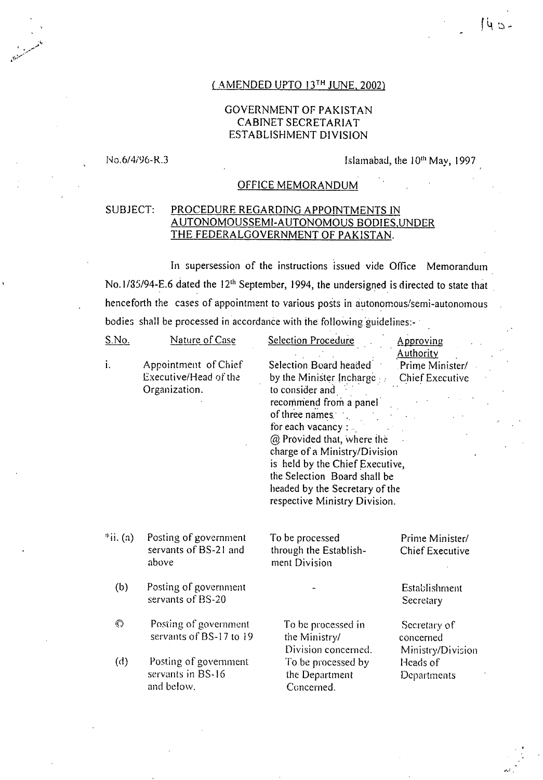#### ( AMENDED UPTO 13TH JUNE, 2002)

#### GOVERNMENT OF PAKISTAN CABINET SECRETARIAT ESTABLISHMENT DIVISION

No.6/4/96-R.3 **Islamabad, the 10<sup>th</sup> May, 1997** 

#### OFFICE MEMORANDUM

#### SUBJECT: PROCEDURE REGARDING APPOINTMENTS IN AUTONOMOUSSEMI-AUTONOMOUS BODIES,UNDER THE FEDERALGOVERNMENT OF PAKISTAN.

In supersession of the instructions issued vide Office Memorandum No. 1/85/94-E.6 dated the 12<sup>th</sup> September, 1994, the undersigned is directed to state that henceforth the cases of appointment to various posts in autonomous/semi-autonomous bodies shall be processed in accordance with the following guidelines:-

| <u>S.No.</u> | Nature of Case                                                 | Selection Procedure                                                                                                                                                                                                                                                                                                                           | Approving                                              |
|--------------|----------------------------------------------------------------|-----------------------------------------------------------------------------------------------------------------------------------------------------------------------------------------------------------------------------------------------------------------------------------------------------------------------------------------------|--------------------------------------------------------|
| i.           | Appointment of Chief<br>Executive/Head of the<br>Organization. | Selection Board headed<br>by the Minister Incharge<br>to consider and<br>recommend from a panel<br>of three names.<br>for each vacancy :<br>@ Provided that, where the<br>charge of a Ministry/Division<br>is held by the Chief Executive,<br>the Selection Board shall be<br>headed by the Secretary of the<br>respective Ministry Division. | <b>Authority</b><br>Prime Minister/<br>Chief Executive |
| $*ii. (a)$   | Posting of government<br>servants of BS-21 and<br>above        | To be processed<br>through the Establish-<br>ment Division                                                                                                                                                                                                                                                                                    | Prime Minister/<br><b>Chief Executive</b>              |
| (b)          | Posting of government<br>servants of BS-20                     |                                                                                                                                                                                                                                                                                                                                               | Establishment<br>Secretary                             |
| $\odot$      | Posting of government<br>servants of BS-17 to 19               | To be processed in<br>the Ministry/<br>Division concerned.                                                                                                                                                                                                                                                                                    | Secretary of<br>concerned                              |
| (d)          | Posting of government<br>servants in BS-16<br>and below.       | To be processed by<br>the Department<br>Concerned.                                                                                                                                                                                                                                                                                            | Ministry/Division<br>Heads of<br>Departments           |

 $143 -$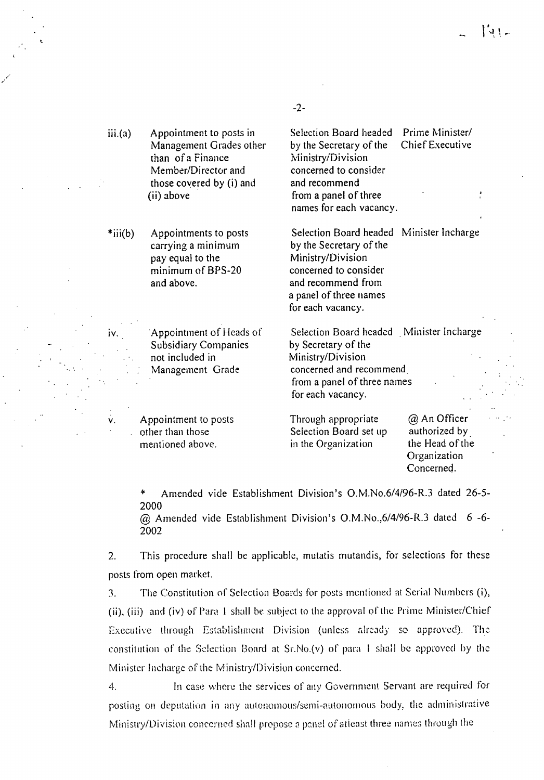$\|u\|$ 

| iii.(a)   | Appointment to posts in<br>Management Grades other<br>than of a Finance<br>Member/Director and<br>those covered by (i) and<br>(ii) above | Selection Board headed<br>by the Secretary of the<br>Ministry/Division<br>concerned to consider<br>and recommend<br>from a panel of three<br>names for each vacancy.                   | Prime Minister/<br><b>Chief Executive</b>                                      |
|-----------|------------------------------------------------------------------------------------------------------------------------------------------|----------------------------------------------------------------------------------------------------------------------------------------------------------------------------------------|--------------------------------------------------------------------------------|
| $*iii(b)$ | Appointments to posts<br>carrying a minimum<br>pay equal to the<br>minimum of BPS-20<br>and above.                                       | Selection Board headed Minister Incharge<br>by the Secretary of the<br>Ministry/Division<br>concerned to consider<br>and recommend from<br>a panel of three names<br>for each vacancy. |                                                                                |
| $iv_{n}$  | Appointment of Heads of<br><b>Subsidiary Companies</b><br>not included in<br>Management Grade                                            | Selection Board headed Minister Incharge<br>by Secretary of the<br>Ministry/Division<br>concerned and recommend<br>from a panel of three names<br>for each vacancy.                    |                                                                                |
| ٧.        | Appointment to posts<br>other than those<br>mentioned above.                                                                             | Through appropriate<br>Selection Board set up<br>in the Organization                                                                                                                   | @ An Officer<br>authorized by<br>the Head of the<br>Organization<br>Concerned. |

\* Amended vide Establishment Division's 0.M.No.6/4/96-R.3 dated 26-5- 2000

@ Amended vide Establishment Division's 0.M.No.,6/4/96-R.3 dated 6 -6- 2002

 $2.$ This procedure shall be applicable, mutatis mutandis, for selections for these posts from open market.

The Constitution of Selection Boards for posts mentioned at Serial Numbers (i),  $3<sub>1</sub>$ (ii), (iii) and (iv) of Para 1 shall be subject to the approval of the Prime Minister/Chief Executive through Establishment Division (unless already so approved). The constitution of the Selection Board at Sr.No.(v) of para I shall be approved by the Minister Incharge of the Ministry/Division concerned.

4. In case where the services of any Government Servant are required for posting on deputation in any autonomous/semi-autonomous body, the administrative Ministry/Division concerned shall propose a panel of atleast three names through the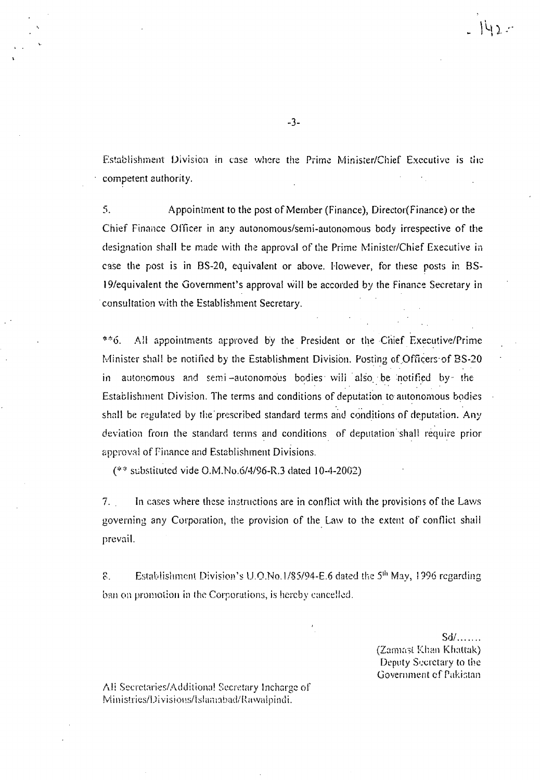Establishment Division in case where the Prime Minister/Chief Executive is the competent authority.

5. Appointment to the post of Member (Finance), Director(Finance) or the Chief Finance Officer in any autonomous/semi-autonomous body irrespective of the designation shall be made with the approval of the Prime Minister/Chief Executive in case the post is in BS-20, equivalent or above. However, for these posts in BS-19/equivalent the Government's approval Will be accorded by the Finance Secretary in 'consultation with the Establishment Secretary.

 $*$ <sup>6</sup>. All appointments approved by the President or the Chief Executive/Prime Minister shall be notified by the Establishment Division. Posting of Officers of BS-20 in autonomous and semi-autonomous bodies will also be notified by the Establishment Division. The terms and conditions of deputation to autonomous bodies shall be regulated by the prescribed standard terms and conditions of deputation. Any deviation from the standard terms and conditions of deputation 'shall require prior approval of Finance and Establishment Divisions.

(\*\* substituted vide 0.M.No.6/4/96-R.3 dated 10-4-2002)

7. In cases where these instructions are in conflict with the provisions of the Laws governing any Corporation, the provision of the.Law to the extent of conflict shall prevail.

Establishment Division's U.O.No.1/85/94-E.6 dated the  $5<sup>th</sup>$  May, 1996 regarding  $\mathcal{E}$ ban on promotion in the Corporations, is hereby cancelled.

> $Sd$ , .... (Zarmast Khan Khattak) Deputy Secretary to the Government of Pakistan

Ali Secretaries/Additional Secretary Incharge of Ministries/Divisions/Islamabad/Rawalpindi.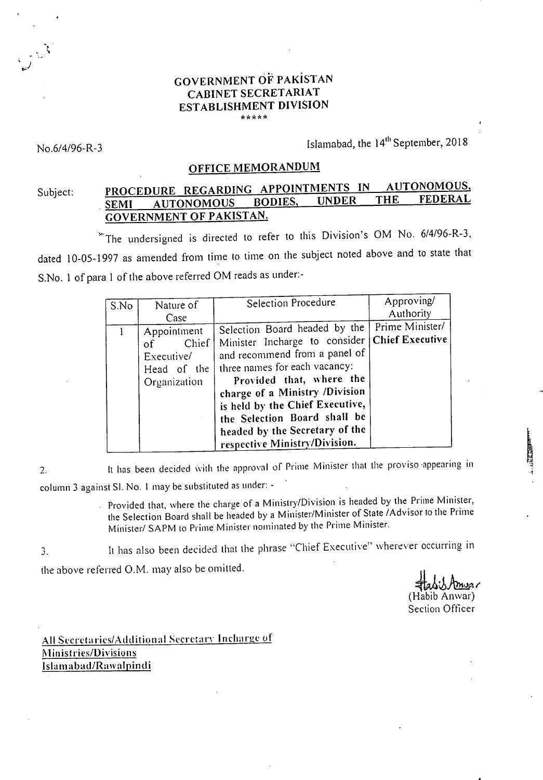### GOVERNMENT OF PAKISTAN CABINET SECRETARIAT ESTABLISHMENT DIVISION \*\*\*\*\*

No.6/4/96-R-3 Islamabad, the 14<sup>th</sup> September, 2018

### OFFICE MEMORANDUM

## Subject: PROCEDURE REGARDING APPOINTMENTS IN AUTONOMOUS, SEMI AUTONOMOUS BODIES, UNDER THE FEDERAL GOVERNMENT OF PAKISTAN.

The undersigned is directed to refer to this Division's OM No. 6/4/96-R-3, dated 10-05-1997 as amended from time to time on the subject noted above and to state that S.No. 1 of para 1 of the above referred OM reads as under:-

| S.No | Nature of                                                                                  | Selection Procedure                                                                                                                                                                                                                                                                                                                  | Approving/                                             |
|------|--------------------------------------------------------------------------------------------|--------------------------------------------------------------------------------------------------------------------------------------------------------------------------------------------------------------------------------------------------------------------------------------------------------------------------------------|--------------------------------------------------------|
|      | Case<br>Appointment<br>Chief<br><sub>of</sub><br>Executive/<br>Head of the<br>Organization | Selection Board headed by the<br>Minister Incharge to consider<br>and recommend from a panel of<br>three names for each vacancy:<br>Provided that, where the<br>charge of a Ministry /Division<br>is held by the Chief Executive,<br>the Selection Board shall be<br>headed by the Secretary of the<br>respective Ministry/Division. | Authority<br>Prime Minister/<br><b>Chief Executive</b> |

It has been decided with the approval of Prime Minister that the proviso appearing in  $2.$ column 3 against SI. No. 1 may be substituted as under: -

Provided that, where the charge of a Ministry/Division is headed by the Prime Minister, the Selection Board shall be headed by a Minister/Minister of State /Advisor to the Prime Minister/ SAPM to Prime Minister nominated by the Prime Minister.

It has also been decided that the phrase "Chief Executive" wherever occurring in  $3.$ 

the above referred O.M. may also be omitted.

(Habib Anwar) Section Officer

**TANKER** 

All Secretaries/Additional Secretary Incharge of Ministries/Divisions Islamabad/Rawalpindi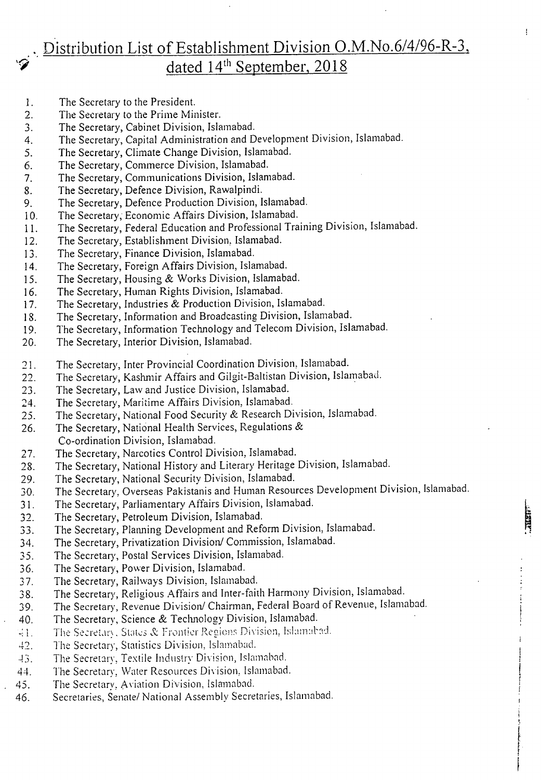# . Distribution List of Establishment Division O.M.No.6/4/96-R-3, dated  $14<sup>th</sup>$  September, 2018

 $\ddot{\mathbf{r}}$ 

**THEIR** 

- The Secretary to the President. 1.
- The Secretary to the Prime Minister.  $2.$
- The Secretary, Cabinet Division, Islamabad. 3.
- The Secretary, Capital Administration and Development Division, Islamabad.  $4.$
- The Secretary, Climate Change Division, Islamabad. 5.
- The Secretary, Commerce Division, Islamabad. 6.
- The Secretary, Communications Division, Islamabad. 7.
- The Secretary, Defence Division, Rawalpindi. 8.
- The Secretary, Defence Production Division, Islamabad. 9.
- $10.$ The Secretary; Economic Affairs Division, Islamabad.
- The Secretary, Federal Education and Professional Training Division, Islamabad. 11.
- The Secretary, Establishment Division, Islamabad. 12.
- 13. The Secretary, Finance Division, Islamabad.
- 14. The Secretary, Foreign Affairs Division, Islamabad.
- The Secretary, Housing & Works Division, Islamabad. 15.
- The Secretary, Human Rights Division, Islamabad. 16.
- The Secretary, Industries & Production Division, Islamabad. 17.
- The Secretary, Information and Broadcasting Division, Islamabad. 18.
- The Secretary, Information Technology and Telecom Division, Islamabad. 19.
- The Secretary, Interior Division, Islamabad.  $20.$
- 
- 21. The Secretary, Inter Provincial Coordination Division, Islamabad.<br>22. The Secretary, Kashmir Affairs and Gilgit-Baltistan Division, Isla. The Secretary, Kashmir Affairs and Gilgit-Baltistan Division, Islamabad.
- 23. The Secretary, Law and Justice Division, Islamabad.
- The Secretary, Maritime Affairs Division, Islamabad. 24.
- The Secretary, National Food Security & Research Division, Islamabad. 25.
- The Secretary, National Health Services, Regulations & 26.
- Co-ordination Division, Islamabad.
- The Secretary, Narcotics Control Division, Islamabad. 27.
- The Secretary, National History and Literary Heritage Division, Islamabad. 28.
- The Secretary, National Security Division, Islamabad. 29.
- The Secretary, Overseas Pakistanis and Human Resources Development Division, Islamabad. 30.
- The Secretary, Parliamentary Affairs Division, Islamabad.  $31.$
- The Secretary, Petroleum Division, Islamabad. 32.
- The Secretary, Planning Development and Reform Division, Islamabad. 33.
- The Secretary, Privatization Division/ Commission, Islamabad. 34.
- The Secretary, Postal Services Division, Islamabad. 35.
- 36. The Secretary, Power Division, Islamabad.
- The Secretary, Railways Division, Islamabad.  $37.$
- The Secretary, Religious Affairs and Inter-faith Harmony Division, Islamabad. 38.
- The Secretary, Revenue Division/ Chairman, Federal Board of Revenue, Islamabad. 39.
- The Secretary, Science & Technology Division, Islamabad.  $40.$
- $41.$  The Secretary, States & Frontier Regions Division, Islamabad.
- 42. The Secretary, Statistics Division, Islamabad.
- The Secretary, Textile Industry Division, Islamabad.  $43.$
- The Secretary, Water Resources Division, Islamabad.  $44.$
- The Secretary, Aviation Division, Islamabad.  $45.$
- Secretaries, Senate/ National Assembly Secretaries, Islamabad. 46.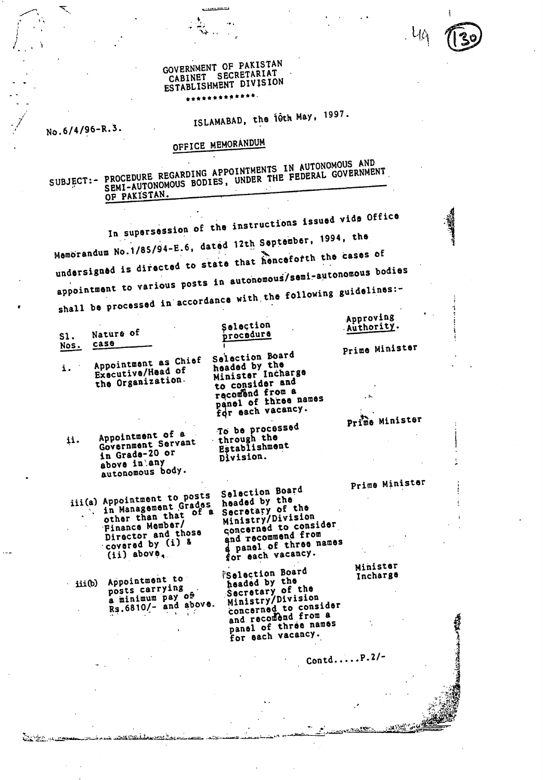#### **GOVERNMENT OF PAKISTAN CABINET SECRETARIAT ESTABLISHMENT DIVISION**  القائمات

# ISLAMABAD, the *i*Oth May, 1997.

**No.6/4/96-R. .** 

ČKEL RO

**OFFICE MEMORANDUM** 

**SUBJECT EXAMPLE REGARDING APPOINTMENTS IN APPRAIT GOVERNMENTS** PROCEDURE RESANSIVE , UNDER THE FEDERAL GOVERNMENT **OP PAKISTAN.** 

**In supersession of the instructions issued vide Office Memorandum No.1/85/94-E.6, dated 12th September, 1994, the undersign is directed to state that hencefotth the cases of**  appointment to various posts in autonomous/semi.  $e^{2\pi i/2}$ **shall be processed in accordance with the following guidelines:** 

|      |                                                                                                                                                           |                                                                                                                                                                               | Approving            |
|------|-----------------------------------------------------------------------------------------------------------------------------------------------------------|-------------------------------------------------------------------------------------------------------------------------------------------------------------------------------|----------------------|
| S1.  | Nature of                                                                                                                                                 | Selection<br>procedure                                                                                                                                                        | Authority.           |
| Nos. | case                                                                                                                                                      |                                                                                                                                                                               |                      |
| i.   | Appointment as Chief<br>Executive/Head of<br>the Organization.                                                                                            | Selection Board<br>headed by the<br>Minister Incharge<br>to consider and<br>recomend from a<br>panel of three names<br>for each vacancy.                                      | Prime Minister       |
|      |                                                                                                                                                           |                                                                                                                                                                               | Prime Minister       |
| ij.  | Appointment of a<br>Government Servant<br>in Grade-20 or<br>above in any<br>autonomous body.                                                              | To be processed<br>through the<br>Establishment<br>Division.                                                                                                                  |                      |
|      |                                                                                                                                                           |                                                                                                                                                                               | Prime Minister       |
|      | iii(a) Appointment to posts<br>in Management Grades<br>other than that of a<br>Finance Member/<br>Director and those<br>covered by (i) &<br>$(ii)$ above. | Selection Board<br>headed by the<br>Secretary of the<br>Ministry/Division<br>concerned to consider<br>and recommend from<br>a panel of three names<br>for each vacancy.       |                      |
|      | Appointment to<br>iii(b)<br>posts carrying<br>a minimum pay of<br>Rs.6810/- and above.<br>n a sh                                                          | <b>Selection Board</b><br>headed by the<br>Secretary of the<br>Ministry/Division<br>concerned to consider<br>and recomend from a<br>panel of three names<br>for each vacancy. | Minister<br>Incharge |
|      |                                                                                                                                                           |                                                                                                                                                                               | Contd $P.2/-$        |
|      |                                                                                                                                                           |                                                                                                                                                                               |                      |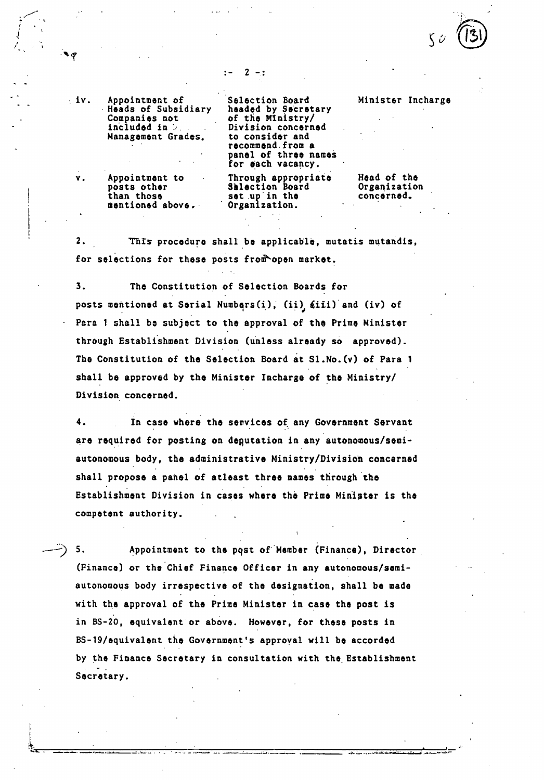$2 -:$ 

**, iv. Appointment of Heads of Subsidiary Companies not included in Management Grades.** 

**Selection Board headed by Secretary of the Ministry/ Division concerned to consider and recommend.from a panel of three names for each vacancy. Through appropriate** 

**v. Appointment to posts other than those mentioned above,** 

**Selection Board**  set up in the **Organization. Head of the Organization concerned.** 

**Minister Incharge** 

*1* 

2. **'Mrs procedure shall be applicable, mutatis mutandis,**  for selections for these posts from open market.

 $3.$ **The Constitution of Selection Boards for**  posts mentioned at Serial Numbers(i), (ii) *fiii*) and (iv) of **Para 1 shall be subject to the approval of the Prime Minister through Establishment Division (unless already so approved). The Constitution of the Selection Board it Sl.No.(v) of Para 1 shall be approved by the Minister Incharge of the Ministry/ Division concerned.** 

 $\ddot{\mathbf{4}}$ . **In case where the services of any Government Servant are required for posting on deputation in any autonomous/semiautonomous body, the administrative Ministry/Division concerned shall propose a panel of atleast three names through the Establishment Division in cases where the Prime Minister is the competent authority.** 

5. **Appointment to the pqst of Member (Finance), Director (Finance) or the Chief Finance Officer in any autonomous/semiautonomous body irrespective of the designation, shall be made with the approval of the Prime Minister in case the post is in BS-20, equivalent or above. However, for these posts in BS-19/equivalent the Government's approval will be accorded by the Finance Secretary in consultation with the. Establishment Secretary.**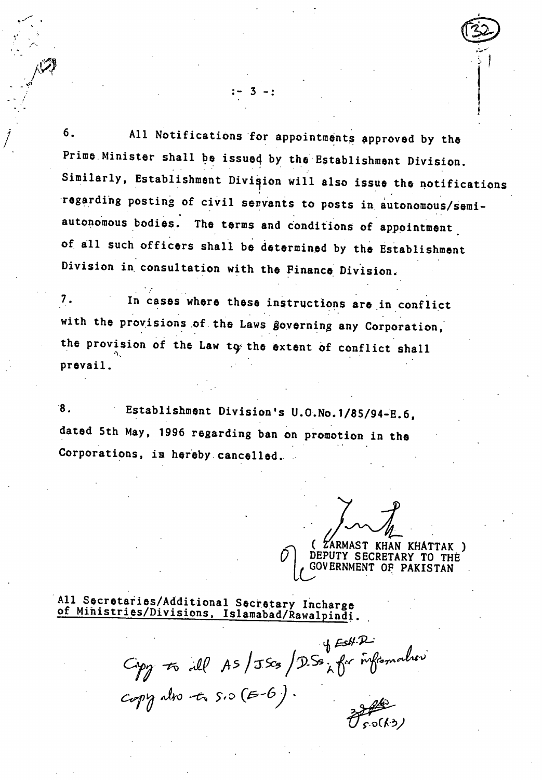**6. All Notifications for appointments approved by the Prime.Minister shall be issue4 by the Establishment Division.**  Similarly, Establishment Division will also issue the notifications '**regarding posting of civil servants to posts in autonomous/semiautonomous bodies. The terms and Conditions of appointment . of all such officers shall be determined by the Establishment Division in consultation with the Finance Division.** 

*7-* **In cases where these instructions are in conflict with the provisions of the Laws §overning any Corporation;**  the provision of the Law to the extent of conflict shall **prevail.** 

 $:- 3 -:$ 

**8. Establishment Division's U.O.No.1/85/94-E.6, dated 5th May, 1996 regarding ban on promotion in the Corporations, is hereby. cancelled.** 

**( ARMAST KHAN KHATTAK ) 1** *GOVERNMENT OF PAKISTAN* **DEPUTY SECRETARY TO** 

**All Secretaries/Additional Secretary Incharge of Ministries/Divisions, Islamabad/Rawalpindi.** 

 $Gpp$  to all AS/JScs/DSs, for information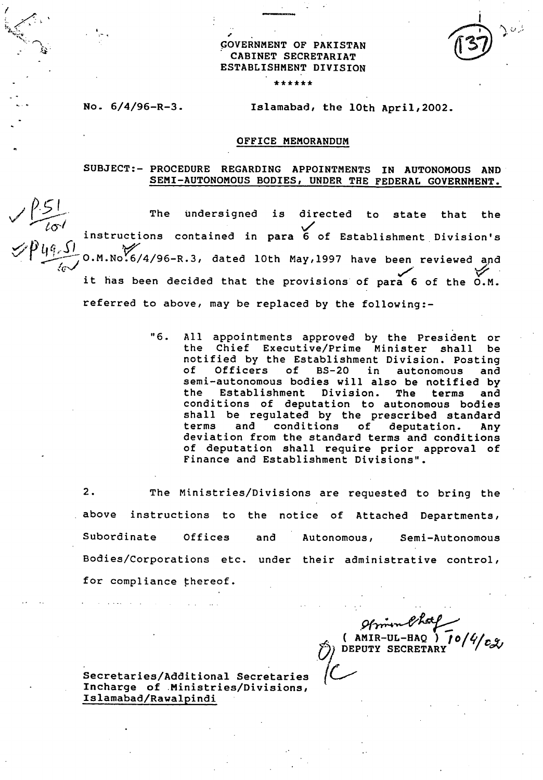#### **GOVERNMENT OF PAKISTAN CABINET SECRETARIAT ESTABLISHMENT DIVISION**

\*\*\*\*\*\*

#### **No. 6/4/96-R-3. Islamabad, the 10th Apri1,2002.**

#### **OFFICE MEMORANDUM**

#### **SUBJECT:- PROCEDURE REGARDING APPOINTMENTS IN AUTONOMOUS AND SEMI-AUTONOMOUS BODIES, UNDER THE FEDERAL GOVERNMENT.**

The undersigned is directed to state that the analysis of the state of the state of the state of the state of the state of the state of the state of the state of the state of the state of the state of the state of the stat The undersigned is directed to state that the<br>instructions contained in para 6 of Establishment Division's **referred to above, may be replaced by the following:**  z4° L(s) **- -,O.M.No.6/4/96-R.3, dated 10th May,1997 have been reviewed and it has been decided that the provisions of para 6 of the O.M.** 

> **"6. All appointments approved by the President or the Chief Executive/Prime Minister shall be notified by the Establishment Division. Posting**  of BS-20 in autonomous and **semi-autonomous bodies will also be notified by the Establishment Division. The terms and conditions of deputation to autonomous bodies shall be regulated by the prescribed standard terms and conditions of deputation. Any deviation from the standard terms and conditions of deputation shall require prior approval of Finance and Establishment Divisions".**

**2. The Ministries/Divisions are requested to bring the above instructions to the notice of Attached Departments, Subordinate Offices and Autonomous, Semi-Autonomous Bodies/Corporations etc. under their administrative control, for compliance thereof.** 

**( AMIR-UL-HAQ ) toNcav DEPUTY SECR** 

**Secretaries/Additional Secretaries Incharge of Ministries/Divisions, Islamabad/Rawalpindi**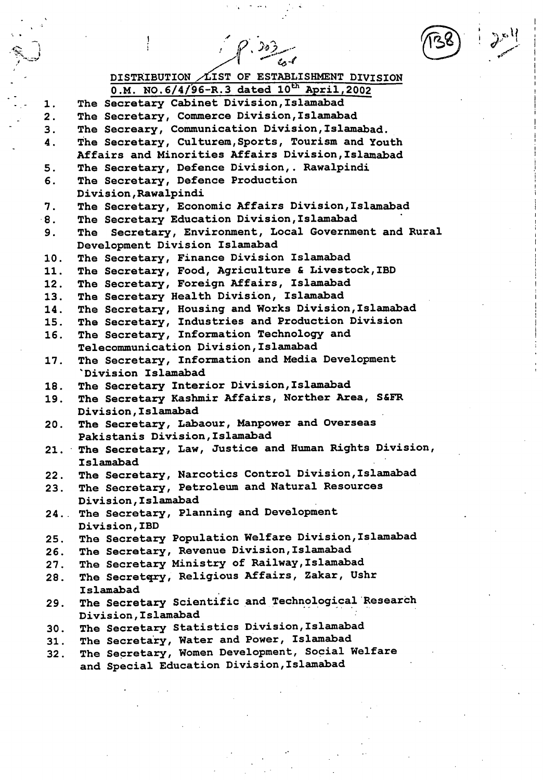$\mathscr{S}$ . 303



**(4-1 DISTRIBUTION LIST OF ESTABLISHMENT DIVISION**  0.M. NO.6/4/96-R.3 dated 10<sup>th</sup> April, 2002 **The Secretary Cabinet Division,Islamabad**  1. **The Secretary, Commerce Division,Islamabad**   $\mathbf{2}$  . **The Secreary, Communication Division,Islamabad.**  3. **The Secretary, Culturem,Sports, Tourism and Youth**  4. **Affairs and Minorities Affairs Division,Islamabad**  5. **The Secretary, Defence Division,. Rawalpindi**  6. **The Secretary, Defence Production Division, Rawalpindi The Secretary, Economic Affairs Division,Islamabad**  7. **8. The Secretary Education Division,Islamabad The Secretary, Environment, Local Government and Rural**  9. **Development Division Islamabad The Secretary, Finance Division Islamabad**  10. **The Secretary, Food, Agriculture & Livestock,IBD**  11. **The Secretary, Foreign Affairs, Islamabad**   $12.$ **The Secretary Health Division, Islamabad**  13. **The Secretary, Housing and Works Division,Islamabad**  14. **The Secretary, Industries and Production Division**  15. **The Secretary, Information Technology and**  16. **Telecommunication Division,Islamabad The Secretary, Information and Media Development**  17. **'Division Islamabad The Secretary Interior Division,Islamabad**  18. **The Secretary Kashmir Affairs, Norther Area, S&FR**  19. **Division,Islamabad The Secretary, Labaour, Manpower and Overseas**   $20.$ **Pakistanis Division, Islamabad The Secretary, Law, Justice and Human Rights Division, Islamabad The Secretary, Narcotics Control Division,Islamabad**   $22.$ **The Secretary, Petroleum and Natural Resources**  23. **Division,Islamabad The Secretary, Planning and Development**   $24.$ **Division, IBD The Secretary Population Welfare Division Islamabad**   $25.$ **The Secretary, Revenue Division,Islamabad**   $26.$ **The Secretary Ministry of Railway,Islamabad**   $27.$ **The Secretgry, Religious Affairs, Zakar, Ushr**  28. **Islamabad The Secretary Scientific and Technological Research**  29. **Division,Islamabad The Secretary Statistics Division,Islamabad**   $30.$ **The Secretary, Water and Power, Islamabad**   $31.$ **The Secretary, Women Development, Social Welfare**   $32.$ **and Special Education Division,Islamabad**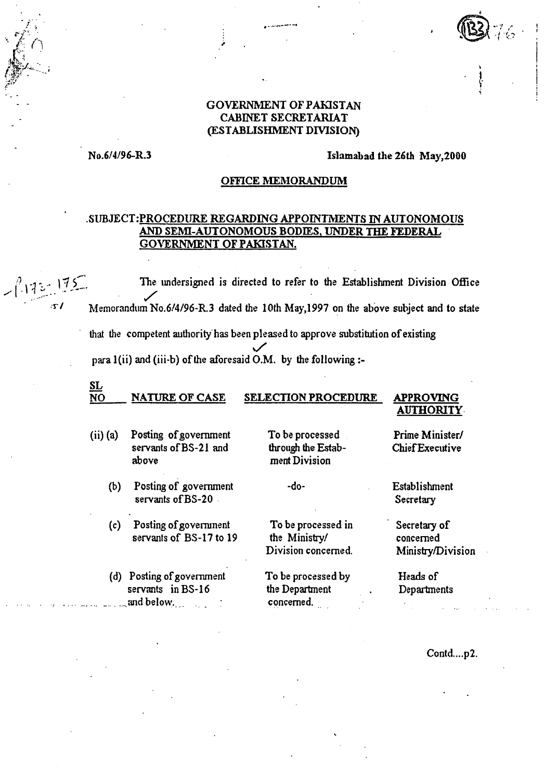#### **GOVERNMENT OF PAKISTAN CABINET SECRETARIAT (ESTABLISHMENT DIVISION)**

#### **No.6/4/96-R.3 Islamabad the 26th May,2000**

#### **OFFICE MEMORANDUM**

#### **.SUBJECT:PROCEDURE REGARDING APPOINTMENTS IN AUTONOMOUS AND SEMI-AUTONOMOUS BODIES, UNDER THE FEDERAL GOVERNMENT OF PAKISTAN.**

**The undersigned is directed to refer to the Establishment Division Office** Memorandum No.6/4/96-R.3 dated the 10th May,1997 on the above subject and to state that the competent authority has been pleased to approve substitution of existing para 1(ii) and (iii-b) of the aforesaid O.M. by the following :-

#### **SL NATURE OF CASE SELECTION PROCEDURE APPROVING**

## **AUTHORITY.**

- (ii) (a) Posting of government To be processed Prime Minister/ servants of BS-21 and through the Estab- Chief Executive above merit Division
	- $(b)$ Posting of government -do- Establishment servants of BS-20 Secretary

Posting of government To be processed in Secretary of  $(c)$ servants of  $BS-17$  to 19 the Ministry/ concerned

(d) Posting of government To be processed by Heads of servants in BS-16 the Department . Departments . sand below. .. concerned.

Division concerned. Ministry/Division

Contd....p2.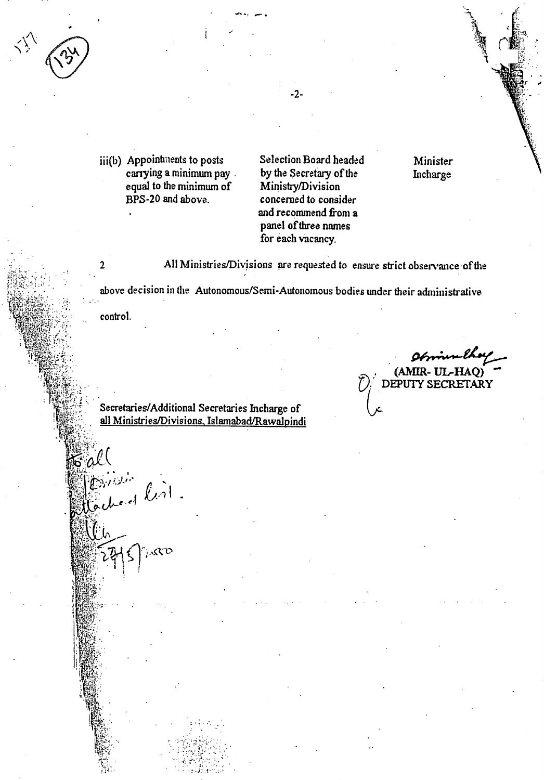

 $\text{iii(b)}$  Appointments to posts **carrying a minimum pay equal to the minimum of BPS-20 and above.** 

Selection **Board headed by the Secretary of the Ministry/Division concerned to consider and recommend from a panel of three names for each vacancy.** 

**Minister Incharge** 

2 All Ministries/Divisions are requested to ensure strict observance of the

above decision in the Autonomous/Semi-Autonomous bodies under their administrative . •

control.

Concrete list

 $\mathcal{K}^{\mathcal{U}}$ 

E al'

**UL-HAQ) DEPUTY SECRETARY** 

Secretaries/Additional Secretaries Incharge of **all Ministries/Divisions, Islamabad/Rawalpindi** 

-2-

•••••- •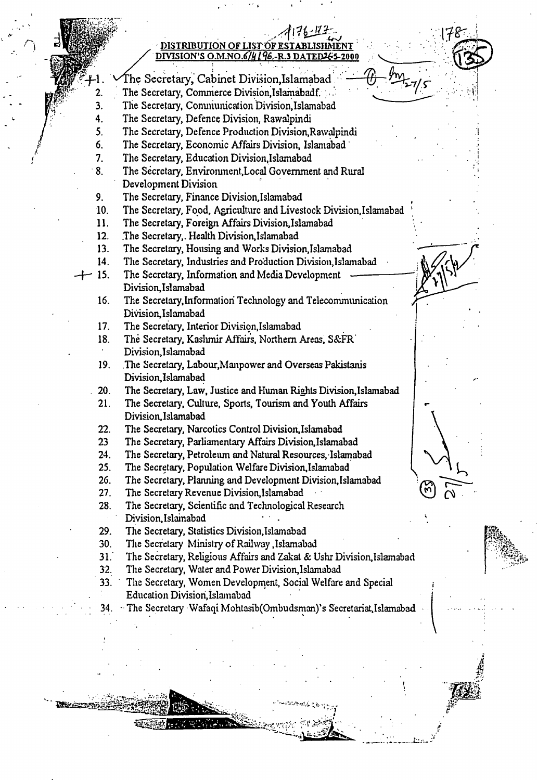## **. • DISTRIBUTION OF LIST OF** DIVISION'S O.M.NO.6/4 [96.-R  $\mathbb{P}^1$  , and the set of  $\mathbb{P}^1$  ,  $\mathbb{P}^1$  ,  $\mathbb{P}^1$  ,  $\mathbb{P}^1$  ,  $\mathbb{P}^1$  $\theta$ -m<sub>z-7/5</sub>

The Secretary, Cabinet Division,Islamabad The Secretary, Commerce Division,Islamabadf.

 $2.$  $3.$ The Secretary, Comniunication Division,Islamabad

4. The Secretary, Defence Division, Rawalpindi

5. The Secretary, Defence Production Division,Rawalpindi

- 6. The Secretary, Economic Affairs Division, Islamabad •
- $7<sub>1</sub>$ The Secretary, Education Division,Islamabad
- . 8. The Secretary, Environment,Local Government and Rural Development Division
- 9. The Secretary, Finance Division,Islamabad
- $10.$ The Secretary, Food, Agriculture and Livestock Division,Islarnabad
- 11. The Secretary, Foreign Affairs Division,Islamabad
- The Secretary,. Health Division,Islamabad  $12.$
- 13. The Secretary, Housing and Works Division,Islamabad
- 14. The Secretary, Industries and Production Division,Islamabad
- $+15.$ The Secretary, Information and Media Development Division,Islamabad
	- 16. The Secretary,Information Technology and Telecommunication DiVision,Islamabad
	- 17. The Secretary, Interior Division,Islamabad
	- 18. The Secretary, Kashmir Affairs, Northern Areas, S&FR. Division,Islamabad
	- 19. .The Secretary, Labour,Manpower and Overseas Pakistanis Division,Islamabad
	- . 20. The Secretary, Law, Justice and Human Rights Division,Islamabad
	- 21. The Secretary, Culture, Sports, Tourism and Youth Affairs Division,Islamabad
	- 22. The Secretary, Narcotics Control Division, Islamabad
	- 23 The Secretary, Parliamentary Affairs Division,Islamabad
	- 24. The Secretary, Petroleum and Natural Resources,•Islamabad
	- $25.$ The Secretary, Population Welfare Division,Islamabad
	- $26.$ The Secretary, Planning and Development Division,Islamabad
	- $27.$ The Secretary Revenue Division,Islamabad
	- The Secretary, Scientific and Technological Research 28. Division,Islainabad
	- 29. The Secretary, Statistics Division,Islamabad

**记载就办**有什么

- $30.$ The Secretary Ministry of Railway ,Islamabad
- $31.$ The Secretary, Religious Affairs and Zakat & Ushr Division,Islamabad
- 32.. The Secretary, Water and Power Division,Islamabad
- 33. The Secretary, Women Development, Social Welfare and Special Education Division,Islamabad
	- 34. The Secretary Wafaqi Mohtasib(Ombudsman)'s Secretariat,Islamabad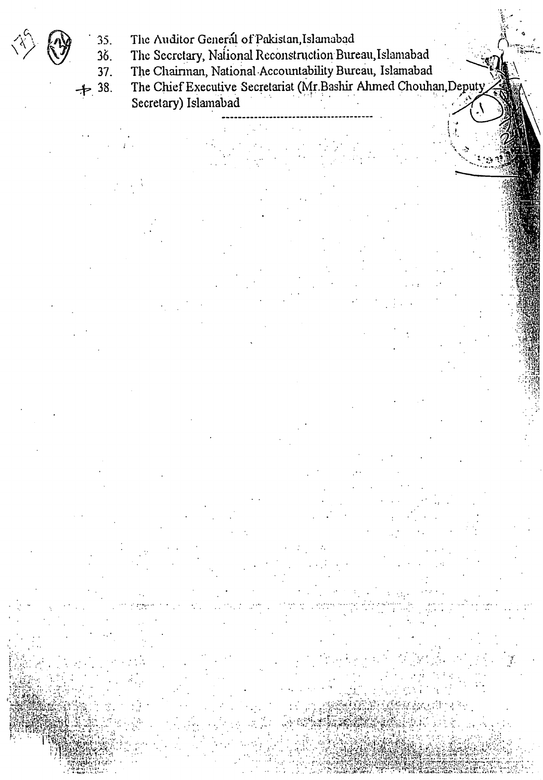- 35.
- 35. The Auditor General of Pakistan, Islamabad<br>36. The Secretary, National Reconstruction Bure The Secretary, National Reconstruction Bureau,Islamabad
- $37.$ The Chairman, National Accountability Bureau, Islamabad

 $\rightarrow$  38. The Chief Executive Secretariat (Mr.Bashir Ahmed Chouhan,Deputy) Secretary) Islamabad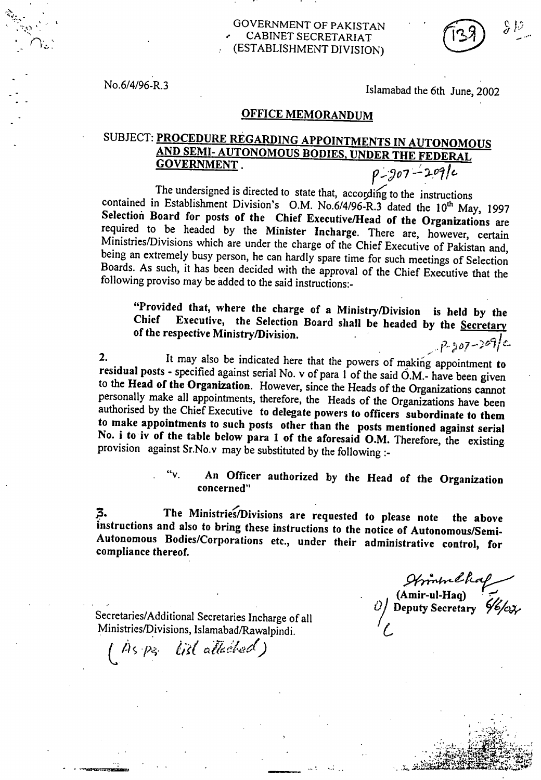No.6/4/96-R.3

Islamabad the 6th June, 2002

#### **OFFICE MEMORANDUM**

# SUBJECT: **PROCEDURE REGARDING APPOINTMENTS IN AUTONOMOUS AND SEMI- AUTONOMOUS BODIES, UNDER THE FEDERAL GOVERNMENT**.  $\rho_{207} - 209/c$

The undersigned is directed to state that, according to the instructions contained in Establishment Division's O.M. No.6/4/96-R.3 dated the 10<sup>th</sup> May, 1997<br>Selection Board for posts of the Chief Executive/Head of the Organizations are required to be headed by the Minister Incharge. There are, however, certain Ministries/Divisions which are under the charge of the Chief Executive of Pakistan and, being an extremely busy person, he can hardly spare time for such meetings of Selection Boards. As such, it has been decided with the approval of the Chief Executive that the following proviso may be added to the said instructions:-

**"Provided that, where the charge of a Ministry/Division is held by the**  Executive, the Selection Board shall be headed by the **Secretary of the respective Ministry/Division.** 

7ه م<br>م 2. It may also be indicated here that the powers of making appointment to residual posts - specified against serial No. v of para 1 of the said O.M.- have been given to the Head of the Organization. However, since the Head personally make all appointments, therefore, the Heads of the Organizations have been authorised by the Chief Executive **to delegate powers to officers subordinate to them to make appointments to such posts other than the posts mentioned against serial**  No. i to iv of the table below para 1 of the aforesaid O.M. Therefore, the existing provision against Sr.No.v may be substituted by the following :-

> An Officer authorized by the Head of the Organization **concerned"**

**The Ministries/Divisions are requested to please note the above**  3. **instructions and also to bring these instructions to the notice of Autonomous/Semi-Autonomous Bodies/Corporations etc., under their administrative control, for compliance thereof.** 

Secretaries/Additional Secretaries Incharge of all Ministries/Divisions, Islamabad/Rawalpindi.

*(4s .p,;;. czAd.7`4°1d)* 

**(Amir-ul-Haq)**  *0/* **Deputy Secretary ,'071,**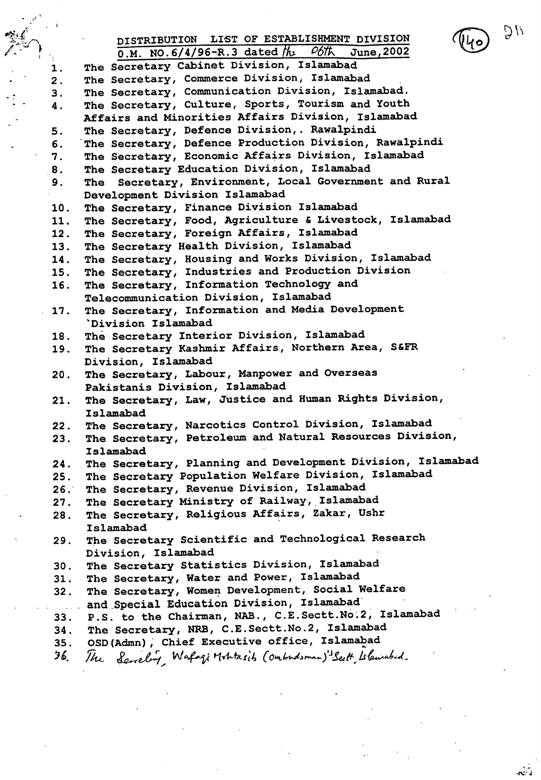

**r:)'\ d'** 

DISTRIBUTION LIST OF ESTABLISHMENT DIVISION **O.M. NO.6/4/96-R.3 dated (it). 067't\ June,2002 The Secretary Cabinet Division, Islamabad**   $1.$ **The Secretary, Commerce Division, Islamabad**   $2.$ **The Secretary, Communication Division, Islamabad.**   $3.$ **The Secretary, Culture, Sports, Tourism and Youth**  4. **Affairs and Minorities Affairs Division, Islamabad The Secretary, Defence Division,. Rawalpindi**  5. **The Secretary, Defence Production Division, Rawalpindi**  6. **The Secretary, Economic Affairs Division, Islamabad**  7. **The Secretary Education Division, Islamabad**  8. **The Secretary, Environment, Local Government and Rural**  9. **Development Division Islamabad The Secretary, Finance Division Islamabad**   $10.$ **The Secretary, Food, Agriculture & Livestock, Islamabad**  11. **The Secretary, Foreign Affairs, Islamabad**   $12.$ **The Secretary Health Division, Islamabad**   $13.$ **The Secretary, Housing and Works Division, Islamabad**  14. **The Secretary, Industries and Production Division**   $15.$ **The Secretary, Information Technology and**  16. **Telecommunication Division, Islamabad The Secretary, Information and Media Development**  17. **'Division Islamabad The Secretary Interior Division, Islamabad**  18. **The Secretary Kashmir Affairs, Northern Area, S&FR**  19. **Division, Islamabad The Secretary, Labour, Manpower and Overseas**  20. **Pakistanis Division, Islamabad The Secretary, Law, Justice and Human Rights Division,**  21. **Islamabad The Secretary, Narcotics Control Division, Islamabad**   $22.$ **The Secretary, Petroleum and Natural Resources Division,**  23. **Islamabad The Secretary, Planning and Development Division, Islamabad**   $24.$ **The Secretary Population Welfare Division, Islamabad**   $25.$ **The Secretary, Revenue Division, Islamabad**   $26.$ **The Secretary Ministry of Railway, Islamabad**   $27.$ **The Secretary, Religious Affairs, Zakar, Ushr**   $28.$ **Islamabad The Secretary Scientific and Technological Research**  29. **Division, Islamabad The Secretary Statistics Division, Islamabad**   $30.$ **The Secretary, Water and Power, Islamabad**   $31.$ **The Secretary, Women Development, Social Welfare**   $32.$ **and Special Education Division, Islamabad' P.S. to the Chairman, NAB., C.E.Sectt.No.2, Islamabad**   $33.$ **The Secretary, NRB, C.E.Sectt.No.2, Islamabad**   $34.$ **OSD(Admn); Chief Executive office, Islamabad**   $35.$ 36. The Servelory, Wafaqi Mohtasib (Ombodsman)<sup>1</sup>Seett, Islamabed.

44:"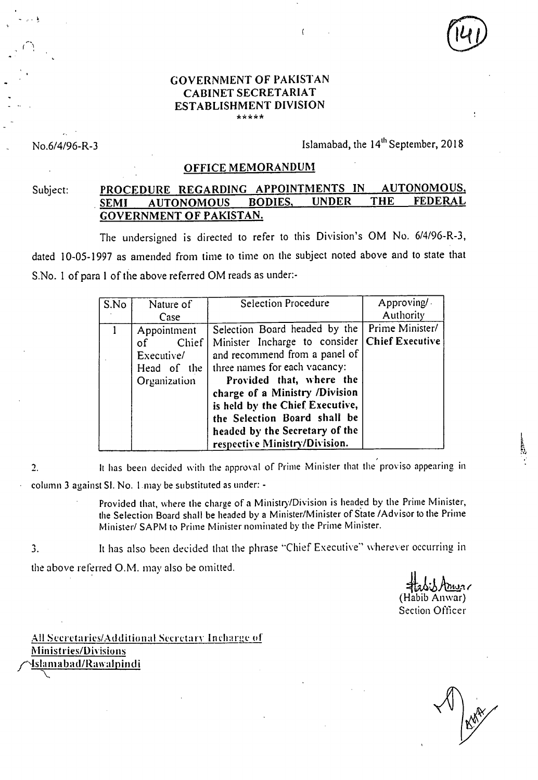#### GOVERNMENT OF PAKISTAN CABINET SECRETARIAT ESTABLISHMENT DIVISION \*\*\*\*\*

No.6/4/96-R-3 **Islamabad, the 14<sup>th</sup> September, 2018** 

#### OFFICE MEMORANDUM

### Subject: PROCEDURE REGARDING APPOINTMENTS IN AUTONOMOUS,<br>SEMI AUTONOMOUS BODIES, UNDER THE FEDERAL SEMI AUTONOMOUS GOVERNMENT OF PAKISTAN.

 $\left($ 

The undersigned is directed to refer to this Division's OM No. 6/4/96-R-3, dated 10-05-1997 as amended from time to time on the subject noted above and to state that S.No. 1 of para **1** of the above referred OM reads as under:-

| S.No | Nature of<br>Case                                                       | Selection Procedure                                                                                                                                                                                                                                                                                                                                    | Approving/<br>Authority |
|------|-------------------------------------------------------------------------|--------------------------------------------------------------------------------------------------------------------------------------------------------------------------------------------------------------------------------------------------------------------------------------------------------------------------------------------------------|-------------------------|
|      | Appointment<br>Chief<br>of<br>Executive/<br>Head of the<br>Organization | Selection Board headed by the   Prime Minister/<br>Minister Incharge to consider<br>and recommend from a panel of<br>three names for each vacancy:<br>Provided that, where the<br>charge of a Ministry /Division<br>is held by the Chief Executive,<br>the Selection Board shall be<br>headed by the Secretary of the<br>respective Ministry/Division. | <b>Chief Executive</b>  |

It has been decided with the approval of Prime Minister that the proviso appearing in  $\overline{2}$ . column 3 against SI. No. 1 may be substituted as under: -

> Provided that, where the charge of a Ministry/Division is headed by the Prime Minister, the Selection Board shall be headed by a Minister/Minister of State /Advisor to the Prime Minister/ SAPM to Prime Minister nominated by the Prime Minister.

It has also been decided that the phrase "Chief Executive" wherever occurring in  $3.$ 

the above referred O.M. may also be omitted.

 $j$ Angar (Habib Anwar) Section Officer

All Secretaries/Additional Secretary Incharge of Ministries/Divisions /Islamabad/Rawalpindi

ĥ,